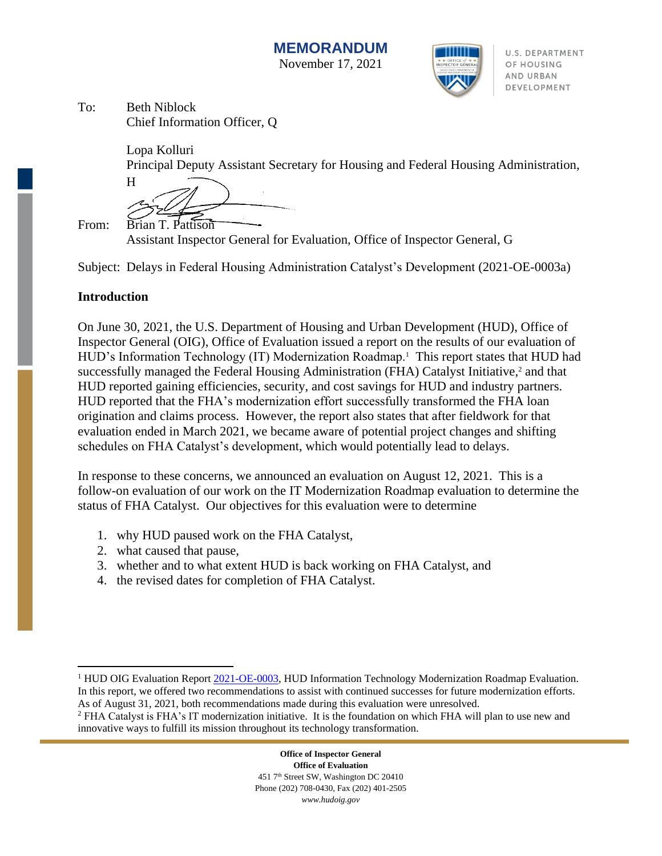

U.S. DEPARTMENT OF HOUSING AND URBAN DEVELOPMENT

To: Beth Niblock Chief Information Officer, Q

Lopa Kolluri

Principal Deputy Assistant Secretary for Housing and Federal Housing Administration,

H

From: Brian T. Pattison

Assistant Inspector General for Evaluation, Office of Inspector General, G

Subject: Delays in Federal Housing Administration Catalyst's Development (2021-OE-0003a)

#### **Introduction**

On June 30, 2021, the U.S. Department of Housing and Urban Development (HUD), Office of Inspector General (OIG), Office of Evaluation issued a report on the results of our evaluation of HUD's Information Technology (IT) Modernization Roadmap.<sup>1</sup> This report states that HUD had successfully managed the Federal Housing Administration (FHA) Catalyst Initiative,<sup>2</sup> and that HUD reported gaining efficiencies, security, and cost savings for HUD and industry partners. HUD reported that the FHA's modernization effort successfully transformed the FHA loan origination and claims process. However, the report also states that after fieldwork for that evaluation ended in March 2021, we became aware of potential project changes and shifting schedules on FHA Catalyst's development, which would potentially lead to delays.

In response to these concerns, we announced an evaluation on August 12, 2021. This is a follow-on evaluation of our work on the IT Modernization Roadmap evaluation to determine the status of FHA Catalyst. Our objectives for this evaluation were to determine

- 1. why HUD paused work on the FHA Catalyst,
- 2. what caused that pause,
- 3. whether and to what extent HUD is back working on FHA Catalyst, and
- 4. the revised dates for completion of FHA Catalyst.

<sup>&</sup>lt;sup>1</sup> HUD OIG Evaluation Repor[t 2021-OE-0003,](https://www.hudoig.gov/sites/default/files/2021-06/2021-OE-0003.pdf) HUD Information Technology Modernization Roadmap Evaluation. In this report, we offered two recommendations to assist with continued successes for future modernization efforts. As of August 31, 2021, both recommendations made during this evaluation were unresolved.

<sup>2</sup> FHA Catalyst is FHA's IT modernization initiative. It is the foundation on which FHA will plan to use new and innovative ways to fulfill its mission throughout its technology transformation.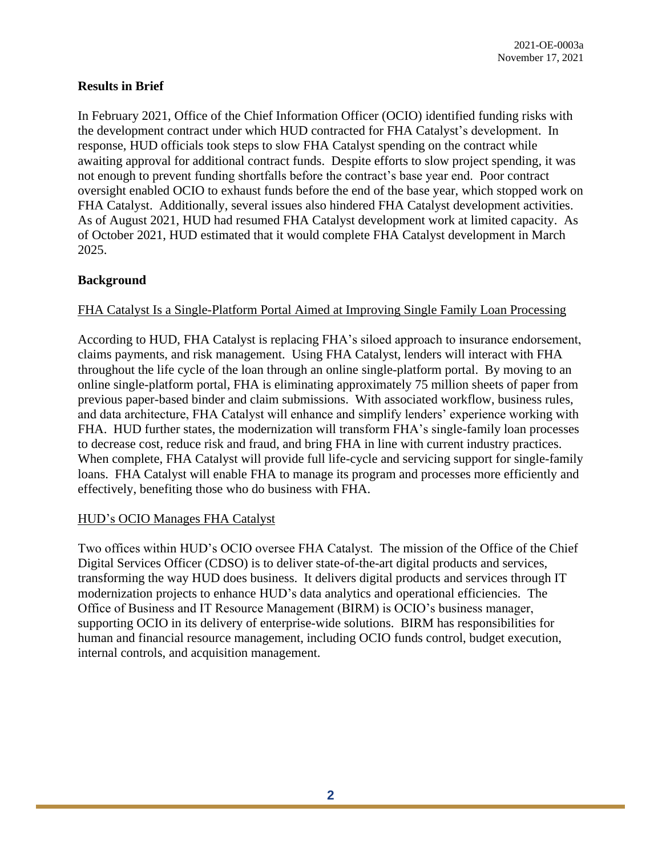### **Results in Brief**

In February 2021, Office of the Chief Information Officer (OCIO) identified funding risks with the development contract under which HUD contracted for FHA Catalyst's development. In response, HUD officials took steps to slow FHA Catalyst spending on the contract while awaiting approval for additional contract funds. Despite efforts to slow project spending, it was not enough to prevent funding shortfalls before the contract's base year end. Poor contract oversight enabled OCIO to exhaust funds before the end of the base year, which stopped work on FHA Catalyst. Additionally, several issues also hindered FHA Catalyst development activities. As of August 2021, HUD had resumed FHA Catalyst development work at limited capacity. As of October 2021, HUD estimated that it would complete FHA Catalyst development in March 2025.

### **Background**

### FHA Catalyst Is a Single-Platform Portal Aimed at Improving Single Family Loan Processing

According to HUD, FHA Catalyst is replacing FHA's siloed approach to insurance endorsement, claims payments, and risk management. Using FHA Catalyst, lenders will interact with FHA throughout the life cycle of the loan through an online single-platform portal. By moving to an online single-platform portal, FHA is eliminating approximately 75 million sheets of paper from previous paper-based binder and claim submissions. With associated workflow, business rules, and data architecture, FHA Catalyst will enhance and simplify lenders' experience working with FHA. HUD further states, the modernization will transform FHA's single-family loan processes to decrease cost, reduce risk and fraud, and bring FHA in line with current industry practices. When complete, FHA Catalyst will provide full life-cycle and servicing support for single-family loans. FHA Catalyst will enable FHA to manage its program and processes more efficiently and effectively, benefiting those who do business with FHA.

#### HUD's OCIO Manages FHA Catalyst

Two offices within HUD's OCIO oversee FHA Catalyst. The mission of the Office of the Chief Digital Services Officer (CDSO) is to deliver state-of-the-art digital products and services, transforming the way HUD does business. It delivers digital products and services through IT modernization projects to enhance HUD's data analytics and operational efficiencies. The Office of Business and IT Resource Management (BIRM) is OCIO's business manager, supporting OCIO in its delivery of enterprise-wide solutions. BIRM has responsibilities for human and financial resource management, including OCIO funds control, budget execution, internal controls, and acquisition management.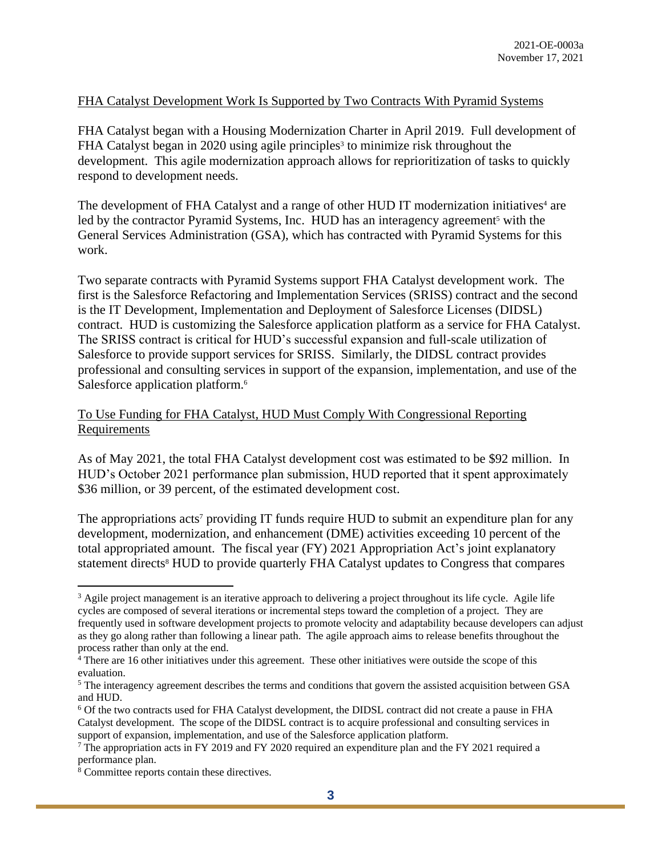### FHA Catalyst Development Work Is Supported by Two Contracts With Pyramid Systems

FHA Catalyst began with a Housing Modernization Charter in April 2019. Full development of FHA Catalyst began in 2020 using agile principles<sup>3</sup> to minimize risk throughout the development. This agile modernization approach allows for reprioritization of tasks to quickly respond to development needs.

The development of FHA Catalyst and a range of other HUD IT modernization initiatives<sup>4</sup> are led by the contractor Pyramid Systems, Inc. HUD has an interagency agreement<sup>5</sup> with the General Services Administration (GSA), which has contracted with Pyramid Systems for this work.

Two separate contracts with Pyramid Systems support FHA Catalyst development work. The first is the Salesforce Refactoring and Implementation Services (SRISS) contract and the second is the IT Development, Implementation and Deployment of Salesforce Licenses (DIDSL) contract. HUD is customizing the Salesforce application platform as a service for FHA Catalyst. The SRISS contract is critical for HUD's successful expansion and full-scale utilization of Salesforce to provide support services for SRISS. Similarly, the DIDSL contract provides professional and consulting services in support of the expansion, implementation, and use of the Salesforce application platform.<sup>6</sup>

### To Use Funding for FHA Catalyst, HUD Must Comply With Congressional Reporting Requirements

As of May 2021, the total FHA Catalyst development cost was estimated to be \$92 million. In HUD's October 2021 performance plan submission, HUD reported that it spent approximately \$36 million, or 39 percent, of the estimated development cost.

The appropriations acts<sup>7</sup> providing IT funds require HUD to submit an expenditure plan for any development, modernization, and enhancement (DME) activities exceeding 10 percent of the total appropriated amount. The fiscal year (FY) 2021 Appropriation Act's joint explanatory statement directs<sup>8</sup> HUD to provide quarterly FHA Catalyst updates to Congress that compares

<sup>&</sup>lt;sup>3</sup> Agile project management is an iterative approach to delivering a project throughout its life cycle. Agile life cycles are composed of several iterations or incremental steps toward the completion of a project. They are frequently used in software development projects to promote velocity and adaptability because developers can adjust as they go along rather than following a linear path. The agile approach aims to release benefits throughout the process rather than only at the end.

<sup>&</sup>lt;sup>4</sup> There are 16 other initiatives under this agreement. These other initiatives were outside the scope of this evaluation.

<sup>&</sup>lt;sup>5</sup> The interagency agreement describes the terms and conditions that govern the assisted acquisition between GSA and HUD.

<sup>6</sup> Of the two contracts used for FHA Catalyst development, the DIDSL contract did not create a pause in FHA Catalyst development. The scope of the DIDSL contract is to acquire professional and consulting services in support of expansion, implementation, and use of the Salesforce application platform.

<sup>7</sup> The appropriation acts in FY 2019 and FY 2020 required an expenditure plan and the FY 2021 required a performance plan.

<sup>8</sup> Committee reports contain these directives.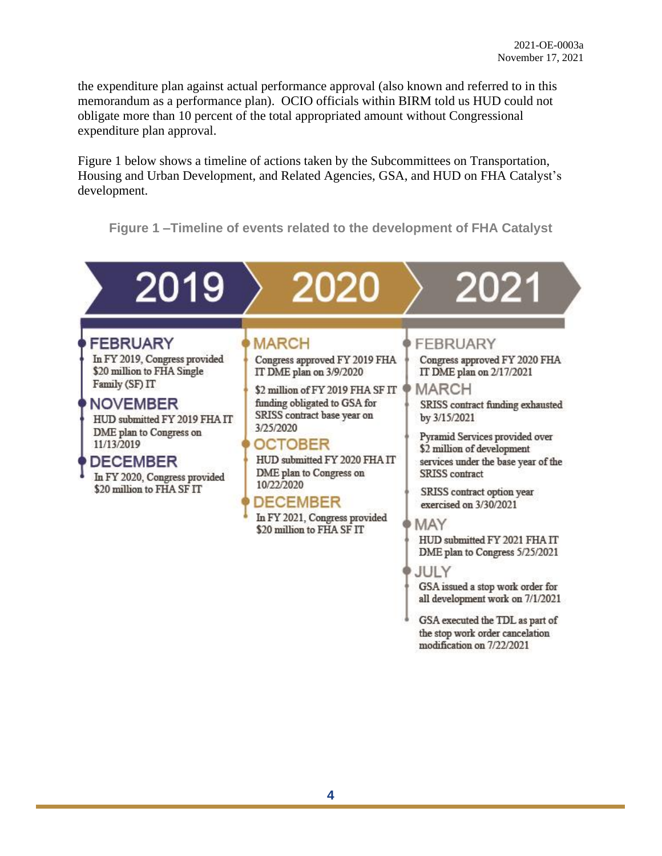the expenditure plan against actual performance approval (also known and referred to in this memorandum as a performance plan). OCIO officials within BIRM told us HUD could not obligate more than 10 percent of the total appropriated amount without Congressional expenditure plan approval.

Figure 1 below shows a timeline of actions taken by the Subcommittees on Transportation, Housing and Urban Development, and Related Agencies, GSA, and HUD on FHA Catalyst's development.

**Figure 1 –Timeline of events related to the development of FHA Catalyst** 

# 2019 202

# **FEBRUARY**

In FY 2019, Congress provided \$20 million to FHA Single Family (SF) IT

# **NOVEMBER**

HUD submitted FY 2019 FHAIT DME plan to Congress on 11/13/2019

### DECEMBER

In FY 2020, Congress provided \$20 million to FHA SF IT

**MARCH** 

Congress approved FY 2019 FHA IT DME plan on 3/9/2020

\$2 million of FY 2019 FHA SF IT funding obligated to GSA for SRISS contract base year on 3/25/2020

# **OCTOBER**

HUD submitted FY 2020 FHA IT DME plan to Congress on 10/22/2020

# **DECEMBER**

In FY 2021, Congress provided \$20 million to FHA SF IT

# FEBRUARY

Congress approved FY 2020 FHA IT DME plan on 2/17/2021

**MARCH** SRISS contract funding exhausted by 3/15/2021

Pyramid Services provided over \$2 million of development services under the base year of the **SRISS** contract

SRISS contract option year exercised on 3/30/2021

**MAY** 

HUD submitted FY 2021 FHAIT DME plan to Congress 5/25/2021

JULY

GSA issued a stop work order for all development work on 7/1/2021

GSA executed the TDL as part of the stop work order cancelation modification on 7/22/2021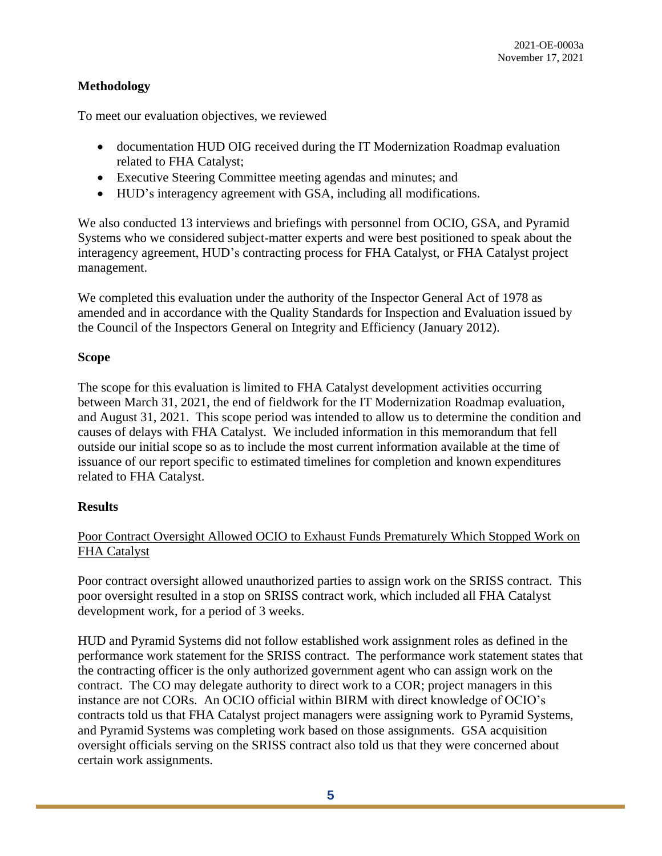### **Methodology**

To meet our evaluation objectives, we reviewed

- documentation HUD OIG received during the IT Modernization Roadmap evaluation related to FHA Catalyst;
- Executive Steering Committee meeting agendas and minutes; and
- HUD's interagency agreement with GSA, including all modifications.

We also conducted 13 interviews and briefings with personnel from OCIO, GSA, and Pyramid Systems who we considered subject-matter experts and were best positioned to speak about the interagency agreement, HUD's contracting process for FHA Catalyst, or FHA Catalyst project management.

We completed this evaluation under the authority of the Inspector General Act of 1978 as amended and in accordance with the Quality Standards for Inspection and Evaluation issued by the Council of the Inspectors General on Integrity and Efficiency (January 2012).

### **Scope**

The scope for this evaluation is limited to FHA Catalyst development activities occurring between March 31, 2021, the end of fieldwork for the IT Modernization Roadmap evaluation, and August 31, 2021. This scope period was intended to allow us to determine the condition and causes of delays with FHA Catalyst. We included information in this memorandum that fell outside our initial scope so as to include the most current information available at the time of issuance of our report specific to estimated timelines for completion and known expenditures related to FHA Catalyst.

### **Results**

### Poor Contract Oversight Allowed OCIO to Exhaust Funds Prematurely Which Stopped Work on FHA Catalyst

Poor contract oversight allowed unauthorized parties to assign work on the SRISS contract. This poor oversight resulted in a stop on SRISS contract work, which included all FHA Catalyst development work, for a period of 3 weeks.

HUD and Pyramid Systems did not follow established work assignment roles as defined in the performance work statement for the SRISS contract. The performance work statement states that the contracting officer is the only authorized government agent who can assign work on the contract. The CO may delegate authority to direct work to a COR; project managers in this instance are not CORs. An OCIO official within BIRM with direct knowledge of OCIO's contracts told us that FHA Catalyst project managers were assigning work to Pyramid Systems, and Pyramid Systems was completing work based on those assignments. GSA acquisition oversight officials serving on the SRISS contract also told us that they were concerned about certain work assignments.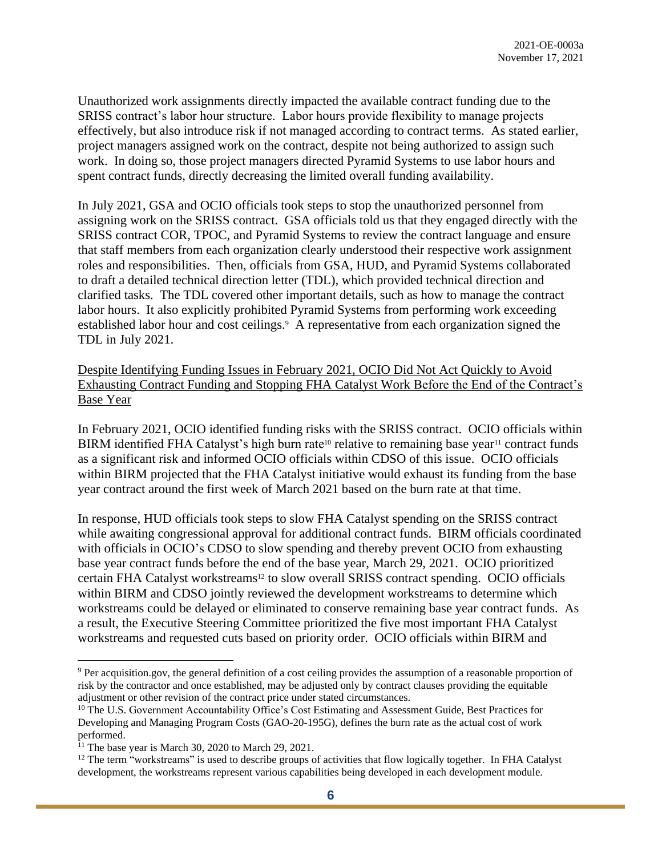Unauthorized work assignments directly impacted the available contract funding due to the SRISS contract's labor hour structure. Labor hours provide flexibility to manage projects effectively, but also introduce risk if not managed according to contract terms. As stated earlier, project managers assigned work on the contract, despite not being authorized to assign such work. In doing so, those project managers directed Pyramid Systems to use labor hours and spent contract funds, directly decreasing the limited overall funding availability.

In July 2021, GSA and OCIO officials took steps to stop the unauthorized personnel from assigning work on the SRISS contract. GSA officials told us that they engaged directly with the SRISS contract COR, TPOC, and Pyramid Systems to review the contract language and ensure that staff members from each organization clearly understood their respective work assignment roles and responsibilities. Then, officials from GSA, HUD, and Pyramid Systems collaborated to draft a detailed technical direction letter (TDL), which provided technical direction and clarified tasks. The TDL covered other important details, such as how to manage the contract labor hours. It also explicitly prohibited Pyramid Systems from performing work exceeding established labor hour and cost ceilings.<sup>9</sup> A representative from each organization signed the TDL in July 2021.

Despite Identifying Funding Issues in February 2021, OCIO Did Not Act Quickly to Avoid Exhausting Contract Funding and Stopping FHA Catalyst Work Before the End of the Contract's Base Year

In February 2021, OCIO identified funding risks with the SRISS contract. OCIO officials within BIRM identified FHA Catalyst's high burn rate<sup>10</sup> relative to remaining base year<sup>11</sup> contract funds as a significant risk and informed OCIO officials within CDSO of this issue. OCIO officials within BIRM projected that the FHA Catalyst initiative would exhaust its funding from the base year contract around the first week of March 2021 based on the burn rate at that time.

In response, HUD officials took steps to slow FHA Catalyst spending on the SRISS contract while awaiting congressional approval for additional contract funds. BIRM officials coordinated with officials in OCIO's CDSO to slow spending and thereby prevent OCIO from exhausting base year contract funds before the end of the base year, March 29, 2021. OCIO prioritized certain FHA Catalyst workstreams<sup>12</sup> to slow overall SRISS contract spending. OCIO officials within BIRM and CDSO jointly reviewed the development workstreams to determine which workstreams could be delayed or eliminated to conserve remaining base year contract funds. As a result, the Executive Steering Committee prioritized the five most important FHA Catalyst workstreams and requested cuts based on priority order. OCIO officials within BIRM and

<sup>9</sup> Per acquisition.gov, the general definition of a cost ceiling provides the assumption of a reasonable proportion of risk by the contractor and once established, may be adjusted only by contract clauses providing the equitable adjustment or other revision of the contract price under stated circumstances.

<sup>&</sup>lt;sup>10</sup> The U.S. Government Accountability Office's Cost Estimating and Assessment Guide, Best Practices for Developing and Managing Program Costs (GAO-20-195G), defines the burn rate as the actual cost of work performed.

 $11$  The base year is March 30, 2020 to March 29, 2021.

<sup>&</sup>lt;sup>12</sup> The term "workstreams" is used to describe groups of activities that flow logically together. In FHA Catalyst development, the workstreams represent various capabilities being developed in each development module.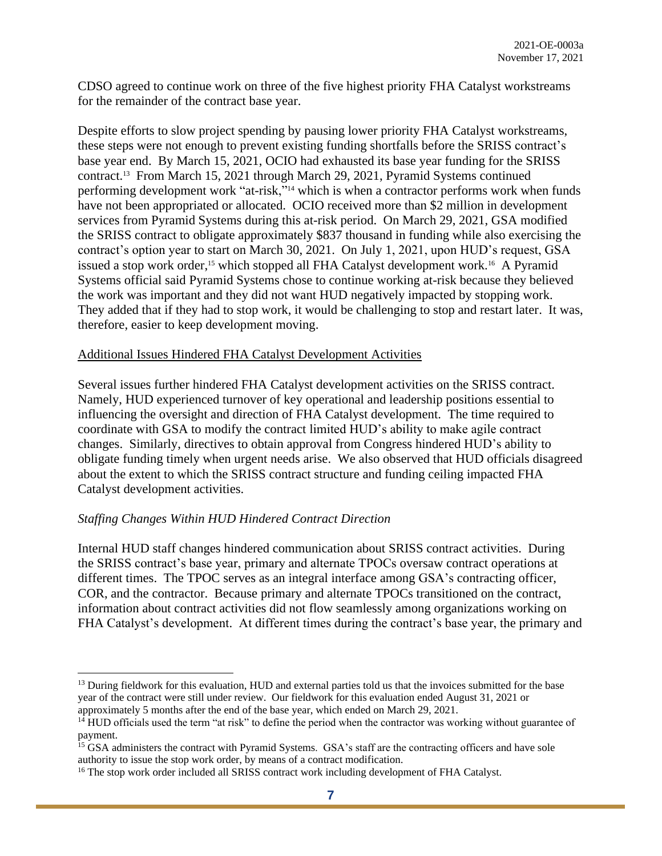CDSO agreed to continue work on three of the five highest priority FHA Catalyst workstreams for the remainder of the contract base year.

Despite efforts to slow project spending by pausing lower priority FHA Catalyst workstreams, these steps were not enough to prevent existing funding shortfalls before the SRISS contract's base year end. By March 15, 2021, OCIO had exhausted its base year funding for the SRISS contract. <sup>13</sup> From March 15, 2021 through March 29, 2021, Pyramid Systems continued performing development work "at-risk,"<sup>14</sup> which is when a contractor performs work when funds have not been appropriated or allocated. OCIO received more than \$2 million in development services from Pyramid Systems during this at-risk period. On March 29, 2021, GSA modified the SRISS contract to obligate approximately \$837 thousand in funding while also exercising the contract's option year to start on March 30, 2021. On July 1, 2021, upon HUD's request, GSA issued a stop work order,<sup>15</sup> which stopped all FHA Catalyst development work.<sup>16</sup> A Pyramid Systems official said Pyramid Systems chose to continue working at-risk because they believed the work was important and they did not want HUD negatively impacted by stopping work. They added that if they had to stop work, it would be challenging to stop and restart later. It was, therefore, easier to keep development moving.

#### Additional Issues Hindered FHA Catalyst Development Activities

Several issues further hindered FHA Catalyst development activities on the SRISS contract. Namely, HUD experienced turnover of key operational and leadership positions essential to influencing the oversight and direction of FHA Catalyst development. The time required to coordinate with GSA to modify the contract limited HUD's ability to make agile contract changes. Similarly, directives to obtain approval from Congress hindered HUD's ability to obligate funding timely when urgent needs arise. We also observed that HUD officials disagreed about the extent to which the SRISS contract structure and funding ceiling impacted FHA Catalyst development activities.

#### *Staffing Changes Within HUD Hindered Contract Direction*

Internal HUD staff changes hindered communication about SRISS contract activities. During the SRISS contract's base year, primary and alternate TPOCs oversaw contract operations at different times. The TPOC serves as an integral interface among GSA's contracting officer, COR, and the contractor. Because primary and alternate TPOCs transitioned on the contract, information about contract activities did not flow seamlessly among organizations working on FHA Catalyst's development. At different times during the contract's base year, the primary and

 $<sup>13</sup>$  During fieldwork for this evaluation, HUD and external parties told us that the invoices submitted for the base</sup> year of the contract were still under review. Our fieldwork for this evaluation ended August 31, 2021 or approximately 5 months after the end of the base year, which ended on March 29, 2021.

 $14$  HUD officials used the term "at risk" to define the period when the contractor was working without guarantee of payment.

<sup>&</sup>lt;sup>15</sup> GSA administers the contract with Pyramid Systems. GSA's staff are the contracting officers and have sole authority to issue the stop work order, by means of a contract modification.

<sup>&</sup>lt;sup>16</sup> The stop work order included all SRISS contract work including development of FHA Catalyst.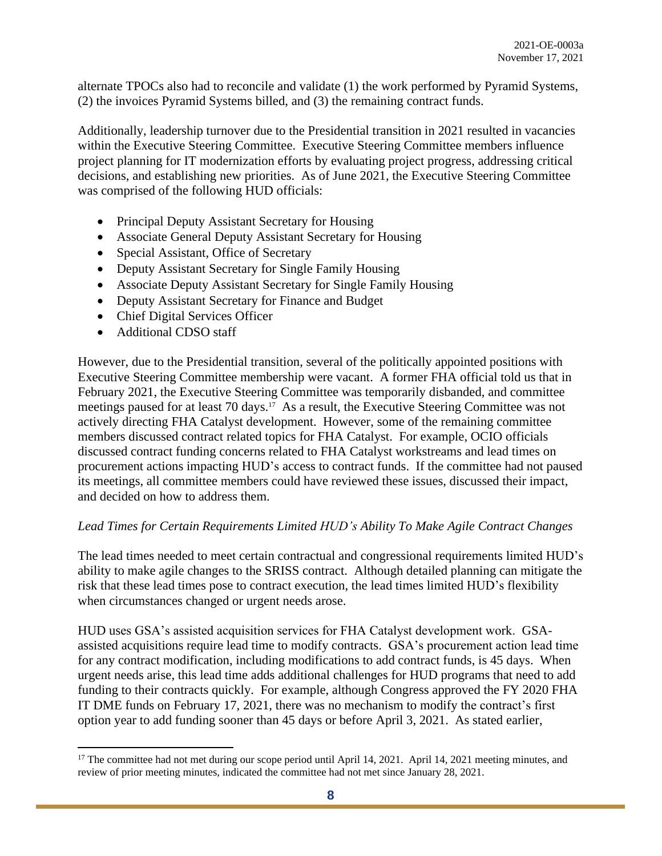alternate TPOCs also had to reconcile and validate (1) the work performed by Pyramid Systems, (2) the invoices Pyramid Systems billed, and (3) the remaining contract funds.

Additionally, leadership turnover due to the Presidential transition in 2021 resulted in vacancies within the Executive Steering Committee. Executive Steering Committee members influence project planning for IT modernization efforts by evaluating project progress, addressing critical decisions, and establishing new priorities. As of June 2021, the Executive Steering Committee was comprised of the following HUD officials:

- Principal Deputy Assistant Secretary for Housing
- Associate General Deputy Assistant Secretary for Housing
- Special Assistant, Office of Secretary
- Deputy Assistant Secretary for Single Family Housing
- Associate Deputy Assistant Secretary for Single Family Housing
- Deputy Assistant Secretary for Finance and Budget
- Chief Digital Services Officer
- Additional CDSO staff

However, due to the Presidential transition, several of the politically appointed positions with Executive Steering Committee membership were vacant. A former FHA official told us that in February 2021, the Executive Steering Committee was temporarily disbanded, and committee meetings paused for at least 70 days. <sup>17</sup> As a result, the Executive Steering Committee was not actively directing FHA Catalyst development. However, some of the remaining committee members discussed contract related topics for FHA Catalyst. For example, OCIO officials discussed contract funding concerns related to FHA Catalyst workstreams and lead times on procurement actions impacting HUD's access to contract funds. If the committee had not paused its meetings, all committee members could have reviewed these issues, discussed their impact, and decided on how to address them.

### *Lead Times for Certain Requirements Limited HUD's Ability To Make Agile Contract Changes*

The lead times needed to meet certain contractual and congressional requirements limited HUD's ability to make agile changes to the SRISS contract. Although detailed planning can mitigate the risk that these lead times pose to contract execution, the lead times limited HUD's flexibility when circumstances changed or urgent needs arose.

HUD uses GSA's assisted acquisition services for FHA Catalyst development work. GSAassisted acquisitions require lead time to modify contracts. GSA's procurement action lead time for any contract modification, including modifications to add contract funds, is 45 days. When urgent needs arise, this lead time adds additional challenges for HUD programs that need to add funding to their contracts quickly. For example, although Congress approved the FY 2020 FHA IT DME funds on February 17, 2021, there was no mechanism to modify the contract's first option year to add funding sooner than 45 days or before April 3, 2021. As stated earlier,

<sup>&</sup>lt;sup>17</sup> The committee had not met during our scope period until April 14, 2021. April 14, 2021 meeting minutes, and review of prior meeting minutes, indicated the committee had not met since January 28, 2021.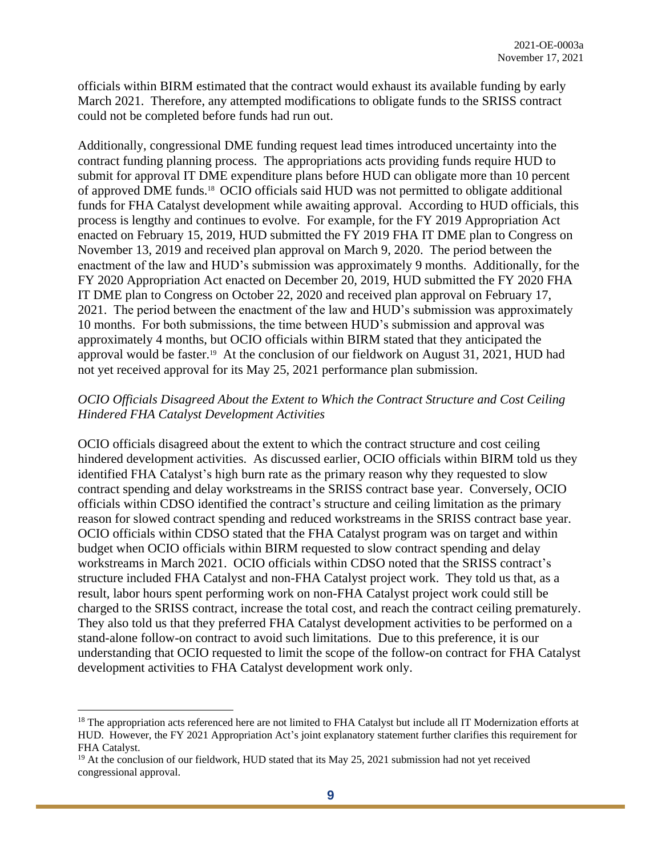officials within BIRM estimated that the contract would exhaust its available funding by early March 2021. Therefore, any attempted modifications to obligate funds to the SRISS contract could not be completed before funds had run out.

Additionally, congressional DME funding request lead times introduced uncertainty into the contract funding planning process. The appropriations acts providing funds require HUD to submit for approval IT DME expenditure plans before HUD can obligate more than 10 percent of approved DME funds. 18 OCIO officials said HUD was not permitted to obligate additional funds for FHA Catalyst development while awaiting approval. According to HUD officials, this process is lengthy and continues to evolve. For example, for the FY 2019 Appropriation Act enacted on February 15, 2019, HUD submitted the FY 2019 FHA IT DME plan to Congress on November 13, 2019 and received plan approval on March 9, 2020. The period between the enactment of the law and HUD's submission was approximately 9 months. Additionally, for the FY 2020 Appropriation Act enacted on December 20, 2019, HUD submitted the FY 2020 FHA IT DME plan to Congress on October 22, 2020 and received plan approval on February 17, 2021. The period between the enactment of the law and HUD's submission was approximately 10 months. For both submissions, the time between HUD's submission and approval was approximately 4 months, but OCIO officials within BIRM stated that they anticipated the approval would be faster. 19 At the conclusion of our fieldwork on August 31, 2021, HUD had not yet received approval for its May 25, 2021 performance plan submission.

### *OCIO Officials Disagreed About the Extent to Which the Contract Structure and Cost Ceiling Hindered FHA Catalyst Development Activities*

OCIO officials disagreed about the extent to which the contract structure and cost ceiling hindered development activities. As discussed earlier, OCIO officials within BIRM told us they identified FHA Catalyst's high burn rate as the primary reason why they requested to slow contract spending and delay workstreams in the SRISS contract base year. Conversely, OCIO officials within CDSO identified the contract's structure and ceiling limitation as the primary reason for slowed contract spending and reduced workstreams in the SRISS contract base year. OCIO officials within CDSO stated that the FHA Catalyst program was on target and within budget when OCIO officials within BIRM requested to slow contract spending and delay workstreams in March 2021. OCIO officials within CDSO noted that the SRISS contract's structure included FHA Catalyst and non-FHA Catalyst project work. They told us that, as a result, labor hours spent performing work on non-FHA Catalyst project work could still be charged to the SRISS contract, increase the total cost, and reach the contract ceiling prematurely. They also told us that they preferred FHA Catalyst development activities to be performed on a stand-alone follow-on contract to avoid such limitations. Due to this preference, it is our understanding that OCIO requested to limit the scope of the follow-on contract for FHA Catalyst development activities to FHA Catalyst development work only.

<sup>&</sup>lt;sup>18</sup> The appropriation acts referenced here are not limited to FHA Catalyst but include all IT Modernization efforts at HUD. However, the FY 2021 Appropriation Act's joint explanatory statement further clarifies this requirement for FHA Catalyst.

 $19$  At the conclusion of our fieldwork, HUD stated that its May 25, 2021 submission had not yet received congressional approval.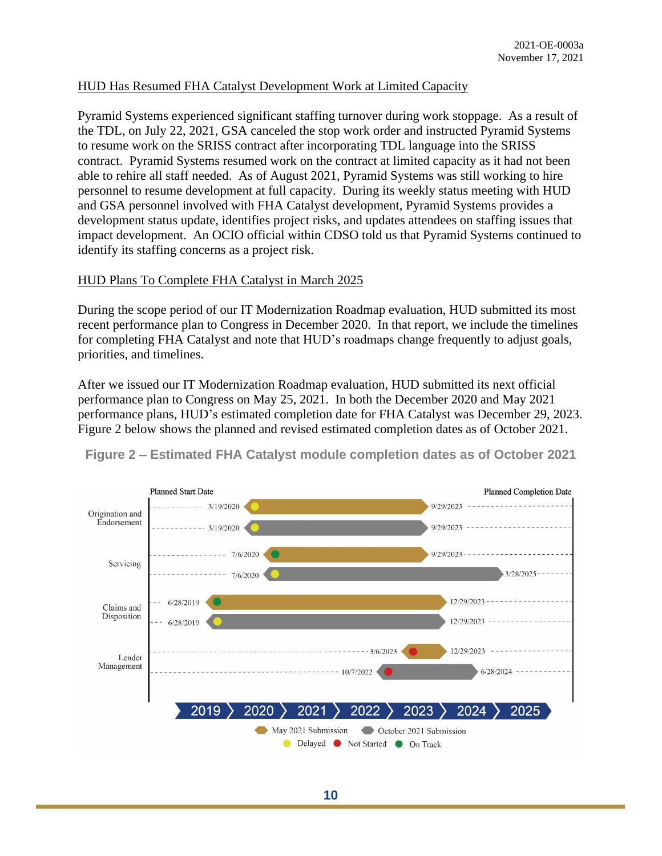### HUD Has Resumed FHA Catalyst Development Work at Limited Capacity

Pyramid Systems experienced significant staffing turnover during work stoppage. As a result of the TDL, on July 22, 2021, GSA canceled the stop work order and instructed Pyramid Systems to resume work on the SRISS contract after incorporating TDL language into the SRISS contract. Pyramid Systems resumed work on the contract at limited capacity as it had not been able to rehire all staff needed. As of August 2021, Pyramid Systems was still working to hire personnel to resume development at full capacity. During its weekly status meeting with HUD and GSA personnel involved with FHA Catalyst development, Pyramid Systems provides a development status update, identifies project risks, and updates attendees on staffing issues that impact development. An OCIO official within CDSO told us that Pyramid Systems continued to identify its staffing concerns as a project risk.

### HUD Plans To Complete FHA Catalyst in March 2025

During the scope period of our IT Modernization Roadmap evaluation, HUD submitted its most recent performance plan to Congress in December 2020. In that report, we include the timelines for completing FHA Catalyst and note that HUD's roadmaps change frequently to adjust goals, priorities, and timelines.

After we issued our IT Modernization Roadmap evaluation, HUD submitted its next official performance plan to Congress on May 25, 2021. In both the December 2020 and May 2021 performance plans, HUD's estimated completion date for FHA Catalyst was December 29, 2023. Figure 2 below shows the planned and revised estimated completion dates as of October 2021.



**Figure 2 – Estimated FHA Catalyst module completion dates as of October 2021**